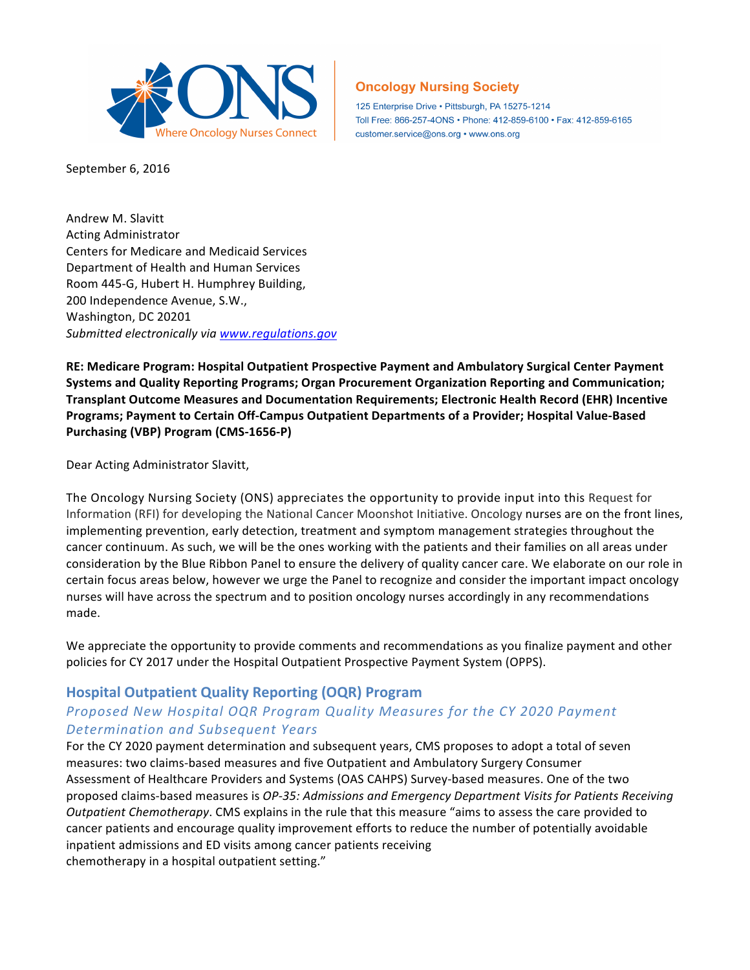

September 6, 2016

Andrew M. Slavitt Acting Administrator Centers for Medicare and Medicaid Services Department of Health and Human Services Room 445-G, Hubert H. Humphrey Building, 200 Independence Avenue, S.W., Washington, DC 20201 Submitted electronically via www.regulations.gov

**RE: Medicare Program: Hospital Outpatient Prospective Payment and Ambulatory Surgical Center Payment Systems and Quality Reporting Programs; Organ Procurement Organization Reporting and Communication; Transplant Outcome Measures and Documentation Requirements; Electronic Health Record (EHR) Incentive**  Programs; Payment to Certain Off-Campus Outpatient Departments of a Provider; Hospital Value-Based Purchasing (VBP) Program (CMS-1656-P)

**Oncology Nursing Society** 

customer.service@ons.org • www.ons.org

125 Enterprise Drive · Pittsburgh, PA 15275-1214

Toll Free: 866-257-4ONS · Phone: 412-859-6100 · Fax: 412-859-6165

Dear Acting Administrator Slavitt,

The Oncology Nursing Society (ONS) appreciates the opportunity to provide input into this Request for Information (RFI) for developing the National Cancer Moonshot Initiative. Oncology nurses are on the front lines, implementing prevention, early detection, treatment and symptom management strategies throughout the cancer continuum. As such, we will be the ones working with the patients and their families on all areas under consideration by the Blue Ribbon Panel to ensure the delivery of quality cancer care. We elaborate on our role in certain focus areas below, however we urge the Panel to recognize and consider the important impact oncology nurses will have across the spectrum and to position oncology nurses accordingly in any recommendations made. 

We appreciate the opportunity to provide comments and recommendations as you finalize payment and other policies for CY 2017 under the Hospital Outpatient Prospective Payment System (OPPS).

## **Hospital Outpatient Quality Reporting (OQR) Program**

## *Proposed New Hospital OQR Program Quality Measures for the CY 2020 Payment Determination and Subsequent Years*

For the CY 2020 payment determination and subsequent years, CMS proposes to adopt a total of seven measures: two claims-based measures and five Outpatient and Ambulatory Surgery Consumer Assessment of Healthcare Providers and Systems (OAS CAHPS) Survey-based measures. One of the two proposed claims-based measures is *OP-35: Admissions and Emergency Department Visits for Patients Receiving Outpatient Chemotherapy*. CMS explains in the rule that this measure "aims to assess the care provided to cancer patients and encourage quality improvement efforts to reduce the number of potentially avoidable inpatient admissions and ED visits among cancer patients receiving chemotherapy in a hospital outpatient setting."